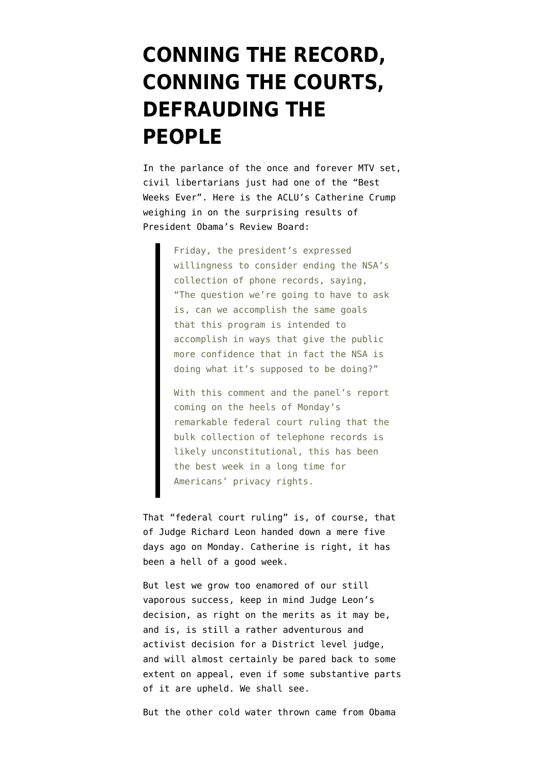## **[CONNING THE RECORD,](https://www.emptywheel.net/2013/12/21/conning-the-record-conning-the-courts-defrauding-the-people/) [CONNING THE COURTS,](https://www.emptywheel.net/2013/12/21/conning-the-record-conning-the-courts-defrauding-the-people/) [DEFRAUDING THE](https://www.emptywheel.net/2013/12/21/conning-the-record-conning-the-courts-defrauding-the-people/) [PEOPLE](https://www.emptywheel.net/2013/12/21/conning-the-record-conning-the-courts-defrauding-the-people/)**

In the parlance of the once and forever MTV set, civil libertarians just had one of the "Best Weeks Ever". Here is the [ACLU's Catherine Crump](http://www.cnn.com/2013/12/21/opinion/crump-privacy-victories/index.html?c=&page=2) weighing in on the surprising results of President Obama's Review Board:

> Friday, the president's expressed willingness to consider ending the NSA's collection of phone records, saying, "The question we're going to have to ask is, can we accomplish the same goals that this program is intended to accomplish in ways that give the public more confidence that in fact the NSA is doing what it's supposed to be doing?"

> With this comment and the panel's report coming on the heels of Monday's remarkable federal court ruling that the bulk collection of telephone records is likely unconstitutional, this has been the best week in a long time for Americans' privacy rights.

That "federal court ruling" is, of course, that of [Judge Richard Leon](http://www.emptywheel.net/2013/12/16/richard-leon-a-phone-dragnet-is-not-a-special-need/) handed down a mere five days ago on Monday. Catherine is right, it has been a hell of a good week.

But lest we grow too enamored of our still vaporous success, keep in mind Judge Leon's decision, as right on the merits as it may be, and is, is still a rather adventurous and activist decision for a District level judge, and will almost certainly be pared back to some extent on appeal, even if some substantive parts of it are upheld. We shall see.

But the other cold water thrown came from Obama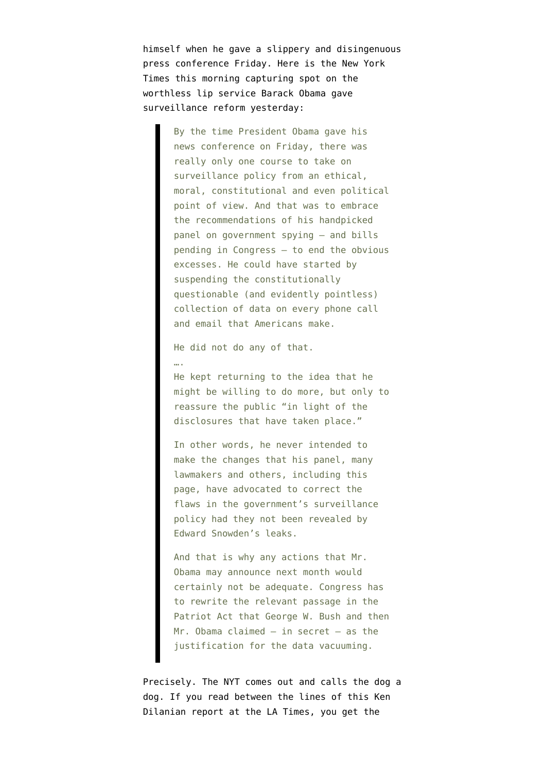himself when he gave a slippery and disingenuous press conference Friday. Here is the [New York](http://www.nytimes.com/2013/12/21/opinion/mr-obamas-disappointing-response.html?hp&rref=opinion) [Times this morning](http://www.nytimes.com/2013/12/21/opinion/mr-obamas-disappointing-response.html?hp&rref=opinion) capturing spot on the worthless lip service Barack Obama gave surveillance reform yesterday:

> By the time President Obama gave his news conference on Friday, there was really only one course to take on surveillance policy from an ethical, moral, constitutional and even political point of view. And that was to embrace the recommendations of his handpicked panel on government spying — and bills pending in Congress — to end the obvious excesses. He could have started by suspending the constitutionally questionable (and evidently pointless) collection of data on every phone call and email that Americans make.

He did not do any of that.

….

He kept returning to the idea that he might be willing to do more, but only to reassure the public "in light of the disclosures that have taken place."

In other words, he never intended to make the changes that his panel, many lawmakers and others, including this page, have advocated to correct the flaws in the government's surveillance policy had they not been revealed by Edward Snowden's leaks.

And that is why any actions that Mr. Obama may announce next month would certainly not be adequate. Congress has to rewrite the relevant passage in the Patriot Act that George W. Bush and then Mr. Obama claimed — in secret — as the justification for the data vacuuming.

Precisely. The NYT comes out and calls the dog a dog. If you read between the lines of this [Ken](http://www.latimes.com/nation/la-na-obama-nsa-20131221,0,2547562.story#axzz2o7f94xF9) [Dilanian report at the LA Times,](http://www.latimes.com/nation/la-na-obama-nsa-20131221,0,2547562.story#axzz2o7f94xF9) you get the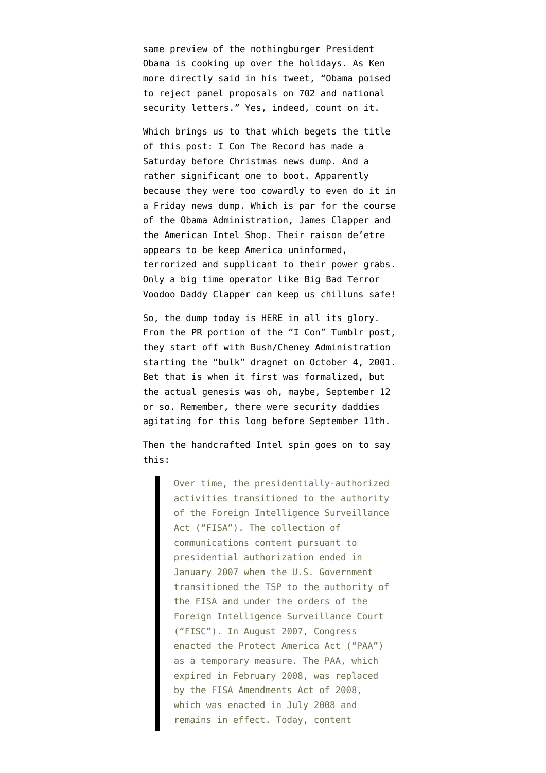same preview of the nothingburger President Obama is cooking up over the holidays. As Ken more directly said in [his tweet,](https://twitter.com/KenDilanianLAT/status/414395002417336320) "Obama poised to reject panel proposals on 702 and national security letters." Yes, indeed, count on it.

Which brings us to that which begets the title of this post: I Con The Record has made a Saturday before Christmas news dump. And a rather significant one to boot. Apparently because they were too cowardly to even do it in a Friday news dump. Which is par for the course of the Obama Administration, James Clapper and the American Intel Shop. Their raison de'etre appears to be keep America uninformed, terrorized and supplicant to their power grabs. Only a big time operator like Big Bad Terror Voodoo Daddy Clapper can keep us chilluns safe!

So, the dump today is [HERE in all its glory](http://icontherecord.tumblr.com/post/70683717031/dni-announces-the-declassification-of-the). From the PR portion of the "I Con" Tumblr post, they start off with Bush/Cheney Administration starting the "bulk" dragnet on October 4, 2001. Bet that is when it first was formalized, but the actual genesis was oh, maybe, September 12 or so. Remember, there were security daddies agitating for this long before September 11th.

Then the handcrafted Intel spin goes on to say this:

> Over time, the presidentially-authorized activities transitioned to the authority of the Foreign Intelligence Surveillance Act ("FISA"). The collection of communications content pursuant to presidential authorization ended in January 2007 when the U.S. Government transitioned the TSP to the authority of the FISA and under the orders of the Foreign Intelligence Surveillance Court ("FISC"). In August 2007, Congress enacted the Protect America Act ("PAA") as a temporary measure. The PAA, which expired in February 2008, was replaced by the FISA Amendments Act of 2008, which was enacted in July 2008 and remains in effect. Today, content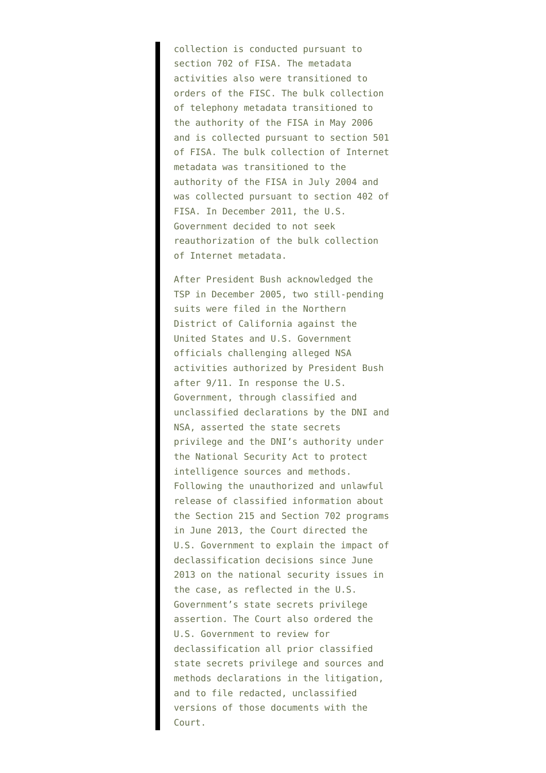collection is conducted pursuant to section 702 of FISA. The metadata activities also were transitioned to orders of the FISC. The bulk collection of telephony metadata transitioned to the authority of the FISA in May 2006 and is collected pursuant to section 501 of FISA. The bulk collection of Internet metadata was transitioned to the authority of the FISA in July 2004 and was collected pursuant to section 402 of FISA. In December 2011, the U.S. Government decided to not seek reauthorization of the bulk collection of Internet metadata.

After President Bush acknowledged the TSP in December 2005, two still-pending suits were filed in the Northern District of California against the United States and U.S. Government officials challenging alleged NSA activities authorized by President Bush after 9/11. In response the U.S. Government, through classified and unclassified declarations by the DNI and NSA, asserted the state secrets privilege and the DNI's authority under the National Security Act to protect intelligence sources and methods. Following the unauthorized and unlawful release of classified information about the Section 215 and Section 702 programs in June 2013, the Court directed the U.S. Government to explain the impact of declassification decisions since June 2013 on the national security issues in the case, as reflected in the U.S. Government's state secrets privilege assertion. The Court also ordered the U.S. Government to review for declassification all prior classified state secrets privilege and sources and methods declarations in the litigation, and to file redacted, unclassified versions of those documents with the Court.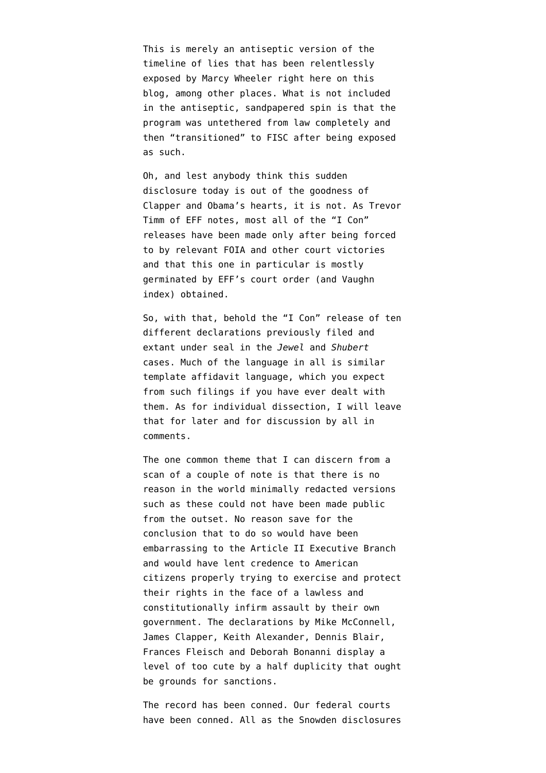This is merely an antiseptic version of the timeline of lies that has been relentlessly exposed by Marcy Wheeler right here on this blog, among other places. What is not included in the antiseptic, sandpapered spin is that the program was untethered from law completely and then "transitioned" to FISC after being exposed as such.

Oh, and lest anybody think this sudden disclosure today is out of the goodness of Clapper and Obama's hearts, it is not. As Trevor Timm of EFF notes, [most all of the "I Con"](https://twitter.com/trevortimm/status/414451817590689792) [releases](https://twitter.com/trevortimm/status/414451817590689792) have been made only after being forced to by relevant FOIA and other court victories and that this one in particular is mostly germinated by [EFF's court order \(and Vaughn](https://twitter.com/trevortimm/status/414449380658122753) [index\) obtained.](https://twitter.com/trevortimm/status/414449380658122753)

So, with that, behold the "I Con" release of ten different declarations previously filed and extant under seal in the *[Jewel](https://www.eff.org/cases/jewel)* and *[Shubert](https://www.eff.org/cases/shubert-v-bush)* cases. Much of the language in all is similar template affidavit language, which you expect from such filings if you have ever dealt with them. As for individual dissection, I will leave that for later and for discussion by all in comments.

The one common theme that I can discern from a scan of a couple of note is that there is no reason in the world minimally redacted versions such as these could not have been made public from the outset. No reason save for the conclusion that to do so would have been embarrassing to the Article II Executive Branch and would have lent credence to American citizens properly trying to exercise and protect their rights in the face of a lawless and constitutionally infirm assault by their own government. The declarations by Mike McConnell, James Clapper, Keith Alexander, Dennis Blair, Frances Fleisch and Deborah Bonanni display a level of too cute by a half duplicity that ought be grounds for sanctions.

The record has been conned. Our federal courts have been conned. All as the Snowden disclosures